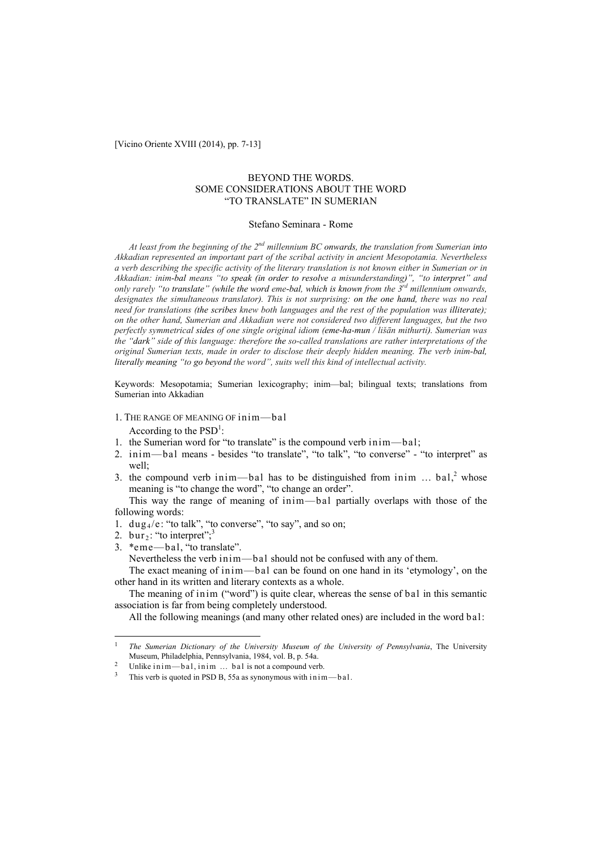[Vicino Oriente XVIII (2014), pp. 7-13]

## BEYOND THE WORDS. SOME CONSIDERATIONS ABOUT THE WORD "TO TRANSLATE" IN SUMERIAN

#### Stefano Seminara - Rome

*At least from the beginning of the 2nd millennium BC onwards, the translation from Sumerian into Akkadian represented an important part of the scribal activity in ancient Mesopotamia. Nevertheless a verb describing the specific activity of the literary translation is not known either in Sumerian or in Akkadian: inim-bal means "to speak (in order to resolve a misunderstanding)", "to interpret" and only rarely "to translate" (while the word eme-bal, which is known from the 3rd millennium onwards, designates the simultaneous translator). This is not surprising: on the one hand, there was no real need for translations (the scribes knew both languages and the rest of the population was illiterate); on the other hand, Sumerian and Akkadian were not considered two different languages, but the two perfectly symmetrical sides of one single original idiom (eme-ha-mun / lišān mithurti). Sumerian was the "dark" side of this language: therefore the so-called translations are rather interpretations of the original Sumerian texts, made in order to disclose their deeply hidden meaning. The verb inim-bal, literally meaning "to go beyond the word", suits well this kind of intellectual activity.*

Keywords: Mesopotamia; Sumerian lexicography; inim—bal; bilingual texts; translations from Sumerian into Akkadian

- 1. THE RANGE OF MEANING OF inim—bal According to the  $PSD^1$ :
- 1. the Sumerian word for "to translate" is the compound verb inim—bal;
- 2. inim—bal means besides "to translate", "to talk", "to converse" "to interpret" as well;
- 3. the compound verb inim—bal has to be distinguished from inim ...  $bal<sub>1</sub><sup>2</sup>$  whose meaning is "to change the word", "to change an order".

This way the range of meaning of inim—bal partially overlaps with those of the following words:

- 1.  $\frac{du}{dt}$  = : "to talk", "to converse", "to say", and so on;
- 2. bur<sub>2</sub>: "to interpret";<sup>3</sup>
- 3. \*eme—bal, "to translate".

Nevertheless the verb inim—bal should not be confused with any of them.

The exact meaning of inim—bal can be found on one hand in its 'etymology', on the other hand in its written and literary contexts as a whole.

The meaning of inim ("word") is quite clear, whereas the sense of bal in this semantic association is far from being completely understood.

All the following meanings (and many other related ones) are included in the word bal:

 $\overline{1}$ <sup>1</sup> *The Sumerian Dictionary of the University Museum of the University of Pennsylvania*, The University

Unlike in im—bal, in im  $\ldots$  bal is not a compound verb.

This verb is quoted in PSD B, 55a as synonymous with in im-bal.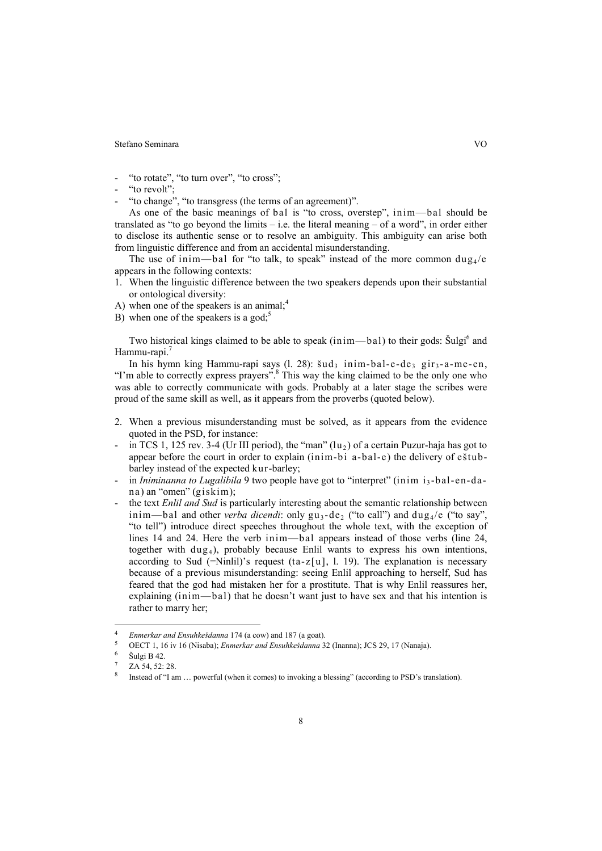Stefano Seminara VO

"to rotate", "to turn over", "to cross";

- "to revolt";
- "to change", "to transgress (the terms of an agreement)".

As one of the basic meanings of bal is "to cross, overstep", inim—bal should be translated as "to go beyond the limits – i.e. the literal meaning – of a word", in order either to disclose its authentic sense or to resolve an ambiguity. This ambiguity can arise both from linguistic difference and from an accidental misunderstanding.

The use of inim—bal for "to talk, to speak" instead of the more common  $\text{dug}_4$ /e appears in the following contexts:

- 1. When the linguistic difference between the two speakers depends upon their substantial or ontological diversity:
- A) when one of the speakers is an animal; $<sup>4</sup>$ </sup>
- B) when one of the speakers is a god;<sup>5</sup>

Two historical kings claimed to be able to speak  $(inim—bal)$  to their gods:  $\text{\r{S}ulgi}^6$  and Hammu-rapi.<sup>7</sup>

In his hymn king Hammu-rapi says (l. 28):  $\text{Sud}_3$  inim-bal-e-de<sub>3</sub> gir<sub>3</sub>-a-me-en, "I'm able to correctly express prayers".<sup>8</sup> This way the king claimed to be the only one who was able to correctly communicate with gods. Probably at a later stage the scribes were proud of the same skill as well, as it appears from the proverbs (quoted below).

- 2. When a previous misunderstanding must be solved, as it appears from the evidence quoted in the PSD, for instance:
- in TCS 1, 125 rev. 3-4 (Ur III period), the "man"  $(lu<sub>2</sub>)$  of a certain Puzur-haja has got to appear before the court in order to explain (inim-bi a-bal-e) the delivery of eštubbarley instead of the expected kur-barley;
- in *Iniminanna to Lugalibila* 9 two people have got to "interpret" (inim i<sub>3</sub>-bal-en-dana) an "omen" (giskim);
- the text *Enlil and Sud* is particularly interesting about the semantic relationship between inim—bal and other *verba dicendi*: only  $gu_3-de_2$  ("to call") and  $du \cdot u_4$  ("to say", "to tell") introduce direct speeches throughout the whole text, with the exception of lines 14 and 24. Here the verb inim—bal appears instead of those verbs (line 24, together with  $du\mathbf{g}_4$ ), probably because Enlil wants to express his own intentions, according to Sud (=Ninlil)'s request (ta-z[u], l. 19). The explanation is necessary because of a previous misunderstanding: seeing Enlil approaching to herself, Sud has feared that the god had mistaken her for a prostitute. That is why Enlil reassures her, explaining (inim—bal) that he doesn't want just to have sex and that his intention is rather to marry her;

 $\overline{\phantom{a}}$ 

<sup>4</sup> *Enmerkar and Ensuhkešdanna* 174 (a cow) and 187 (a goat). 5 OECT 1, 16 iv 16 (Nisaba); *Enmerkar and Ensuhkešdanna* 32 (Inanna); JCS 29, 17 (Nanaja). 6 Šulgi B 42.

ZA 54, 52: 28.

Instead of "I am ... powerful (when it comes) to invoking a blessing" (according to PSD's translation).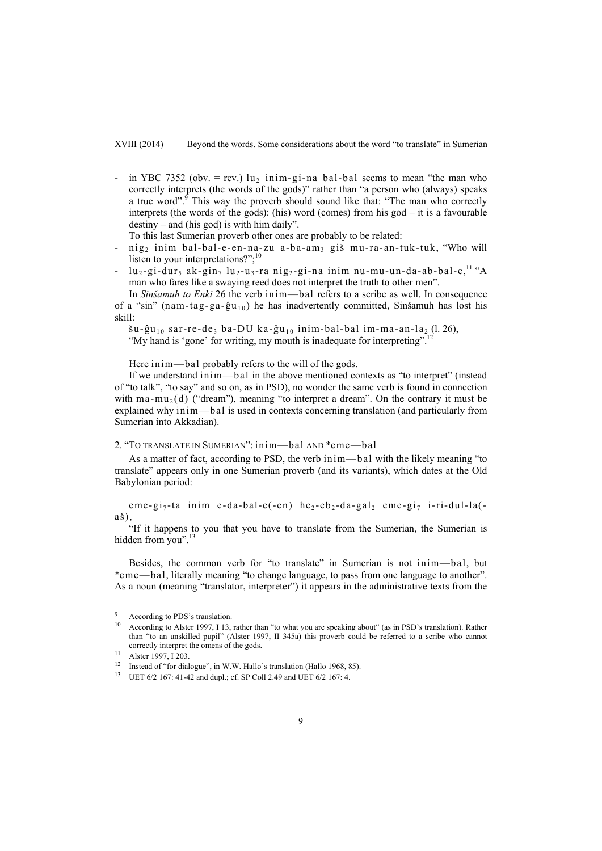XVIII (2014) Beyond the words. Some considerations about the word "to translate" in Sumerian

- in YBC 7352 (obv. = rev.)  $u_2$  inim-gi-na bal-bal seems to mean "the man who correctly interprets (the words of the gods)" rather than "a person who (always) speaks a true word".<sup>9</sup> This way the proverb should sound like that: "The man who correctly interprets (the words of the gods): (his) word (comes) from his god – it is a favourable destiny – and (his god) is with him daily".

To this last Sumerian proverb other ones are probably to be related:

- nig<sub>2</sub> inim bal-bal-e-en-na-zu a-ba-am<sub>3</sub> giš mu-ra-an-tuk-tuk, "Who will listen to your interpretations?";<sup>10</sup>
- $lu_2-gi-dur_5$  ak-gin<sub>7</sub>  $lu_2-u_3$ -ra nig<sub>2</sub>-gi-na inim nu-mu-un-da-ab-bal-e,<sup>11</sup> "A man who fares like a swaying reed does not interpret the truth to other men".

In *Sinšamuh to Enki* 26 the verb inim—bal refers to a scribe as well. In consequence of a "sin" (nam-tag-ga-ĝu<sub>10</sub>) he has inadvertently committed, Sinšamuh has lost his skill:

 $\tilde{s}u-\tilde{g}u_{10}$  sar-re-de, ba-DU ka-ĝu<sub>10</sub> inim-bal-bal im-ma-an-la, (l. 26),

"My hand is 'gone' for writing, my mouth is inadequate for interpreting".

Here inim—bal probably refers to the will of the gods.

If we understand inim—bal in the above mentioned contexts as "to interpret" (instead of "to talk", "to say" and so on, as in PSD), no wonder the same verb is found in connection with ma-mu<sub>2</sub>(d) ("dream"), meaning "to interpret a dream". On the contrary it must be explained why inim—bal is used in contexts concerning translation (and particularly from Sumerian into Akkadian).

2. "TO TRANSLATE IN SUMERIAN": inim—bal AND \*eme—bal

As a matter of fact, according to PSD, the verb inim—bal with the likely meaning "to translate" appears only in one Sumerian proverb (and its variants), which dates at the Old Babylonian period:

eme-gi<sub>7</sub>-ta inim e-da-bal-e(-en) he<sub>2</sub>-eb<sub>2</sub>-da-gal, eme-gi<sub>7</sub> i-ri-dul-la(aš),

"If it happens to you that you have to translate from the Sumerian, the Sumerian is hidden from you".<sup>13</sup>

Besides, the common verb for "to translate" in Sumerian is not inim—bal, but \*eme—bal, literally meaning "to change language, to pass from one language to another". As a noun (meaning "translator, interpreter") it appears in the administrative texts from the

 $\overline{\phantom{a}}$ 

According to PDS's translation.

<sup>&</sup>lt;sup>10</sup> According to Alster 1997, I 13, rather than "to what you are speaking about" (as in PSD's translation). Rather than "to an unskilled pupil" (Alster 1997, II 345a) this proverb could be referred to a scribe who cannot correctly interpret the omens of the gods.<br><sup>11</sup> Alster 1997, I 203.

<sup>&</sup>lt;sup>12</sup> Instead of "for dialogue", in W.W. Hallo's translation (Hallo 1968, 85).

<sup>13</sup> UET 6/2 167: 41-42 and dupl.; cf. SP Coll 2.49 and UET 6/2 167: 4.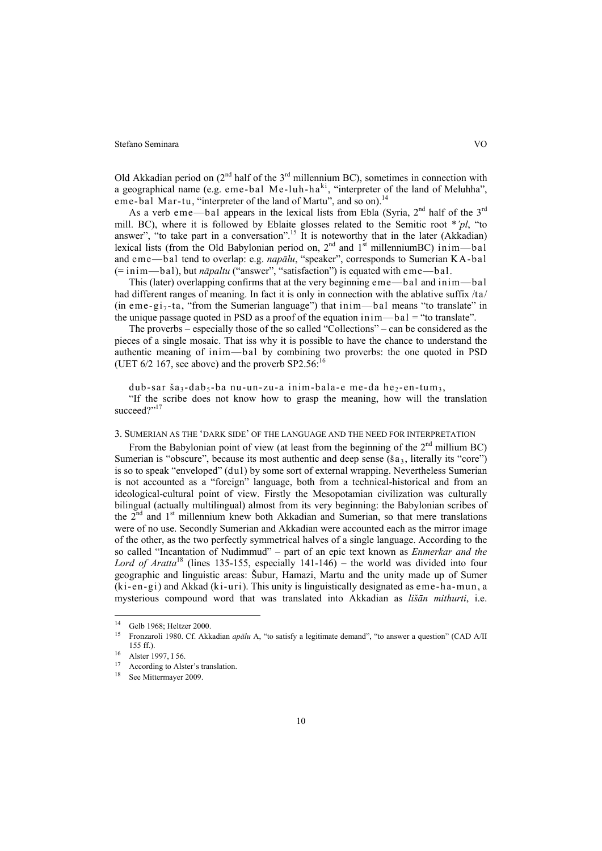#### Stefano Seminara VO

Old Akkadian period on  $(2^{nd}$  half of the  $3^{rd}$  millennium BC), sometimes in connection with a geographical name (e.g. eme-bal Me-luh-ha $\frac{1}{n}$ , "interpreter of the land of Meluhha", eme-bal Mar-tu, "interpreter of the land of Martu", and so on).<sup>14</sup>

As a verb eme—bal appears in the lexical lists from Ebla (Syria,  $2<sup>nd</sup>$  half of the  $3<sup>rd</sup>$ mill. BC), where it is followed by Eblaite glosses related to the Semitic root \**'pl*, "to answer", "to take part in a conversation".<sup>15</sup> It is noteworthy that in the later (Akkadian) lexical lists (from the Old Babylonian period on,  $2<sup>nd</sup>$  and  $1<sup>st</sup>$  millenniumBC) inim—bal and eme—bal tend to overlap: e.g. *napālu*, "speaker", corresponds to Sumerian KA-bal (= inim—bal), but *nāpaltu* ("answer", "satisfaction") is equated with eme—bal.

This (later) overlapping confirms that at the very beginning eme—bal and inim—bal had different ranges of meaning. In fact it is only in connection with the ablative suffix /ta/ (in eme-gi<sub>7</sub>-ta, "from the Sumerian language") that inim—bal means "to translate" in the unique passage quoted in PSD as a proof of the equation inim—bal = "to translate".

The proverbs – especially those of the so called "Collections" – can be considered as the pieces of a single mosaic. That iss why it is possible to have the chance to understand the authentic meaning of inim—bal by combining two proverbs: the one quoted in PSD (UET  $6/2$  167, see above) and the proverb SP2.56:

dub-sar ša<sub>3</sub>-dab<sub>5</sub>-ba nu-un-zu-a inim-bala-e me-da he<sub>2</sub>-en-tum<sub>3</sub>,

"If the scribe does not know how to grasp the meaning, how will the translation succeed?"<sup>17</sup>

# 3. SUMERIAN AS THE 'DARK SIDE' OF THE LANGUAGE AND THE NEED FOR INTERPRETATION

From the Babylonian point of view (at least from the beginning of the  $2<sup>nd</sup>$  millium BC) Sumerian is "obscure", because its most authentic and deep sense  $(\check{s}a_3)$ , literally its "core") is so to speak "enveloped" (dul) by some sort of external wrapping. Nevertheless Sumerian is not accounted as a "foreign" language, both from a technical-historical and from an ideological-cultural point of view. Firstly the Mesopotamian civilization was culturally bilingual (actually multilingual) almost from its very beginning: the Babylonian scribes of the  $2<sup>nd</sup>$  and  $1<sup>st</sup>$  millennium knew both Akkadian and Sumerian, so that mere translations were of no use. Secondly Sumerian and Akkadian were accounted each as the mirror image of the other, as the two perfectly symmetrical halves of a single language. According to the so called "Incantation of Nudimmud" – part of an epic text known as *Enmerkar and the Lord of Aratta*18 (lines 135-155, especially 141-146) – the world was divided into four geographic and linguistic areas: Šubur, Hamazi, Martu and the unity made up of Sumer (ki-en-gi) and Akkad (ki-uri). This unity is linguistically designated as eme-ha-mun, a mysterious compound word that was translated into Akkadian as *lišān mithurti*, i.e.

 $\overline{a}$ 

<sup>&</sup>lt;sup>14</sup> Gelb 1968; Heltzer 2000.<br><sup>15</sup> Erengarali 1080, Cf. Al-

<sup>15</sup> Fronzaroli 1980. Cf. Akkadian *apālu* A, "to satisfy a legitimate demand", "to answer a question" (CAD A/II 155 ff.).<br><sup>16</sup> Alster 1997, I 56.

According to Alster's translation.

<sup>18</sup> See Mittermayer 2009.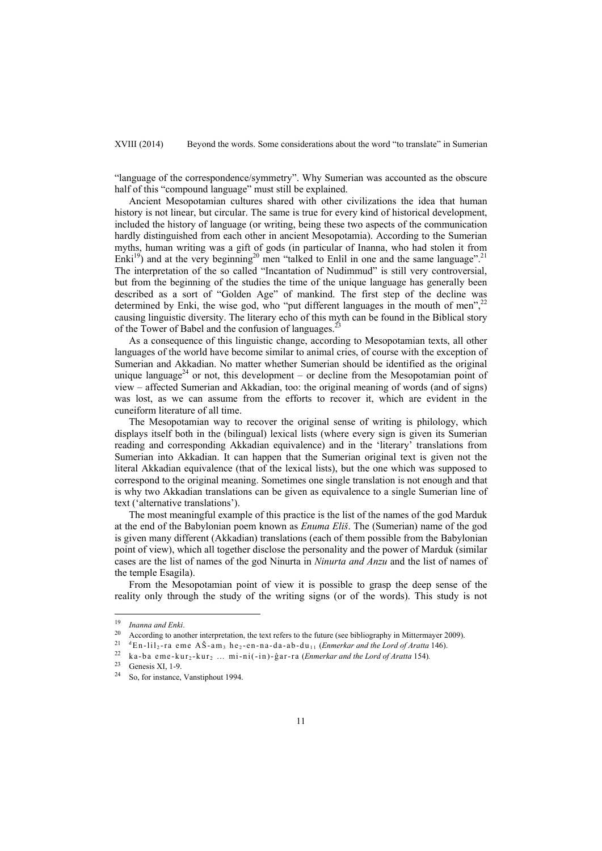XVIII (2014) Beyond the words. Some considerations about the word "to translate" in Sumerian

"language of the correspondence/symmetry". Why Sumerian was accounted as the obscure half of this "compound language" must still be explained.

Ancient Mesopotamian cultures shared with other civilizations the idea that human history is not linear, but circular. The same is true for every kind of historical development, included the history of language (or writing, being these two aspects of the communication hardly distinguished from each other in ancient Mesopotamia). According to the Sumerian myths, human writing was a gift of gods (in particular of Inanna, who had stolen it from Enki<sup>19</sup>) and at the very beginning<sup>20</sup> men "talked to Enlil in one and the same language".<sup>21</sup> The interpretation of the so called "Incantation of Nudimmud" is still very controversial, but from the beginning of the studies the time of the unique language has generally been described as a sort of "Golden Age" of mankind. The first step of the decline was determined by Enki, the wise god, who "put different languages in the mouth of men",<sup>22</sup> causing linguistic diversity. The literary echo of this myth can be found in the Biblical story of the Tower of Babel and the confusion of languages.<sup>2</sup>

As a consequence of this linguistic change, according to Mesopotamian texts, all other languages of the world have become similar to animal cries, of course with the exception of Sumerian and Akkadian. No matter whether Sumerian should be identified as the original unique language<sup>24</sup> or not, this development – or decline from the Mesopotamian point of view – affected Sumerian and Akkadian, too: the original meaning of words (and of signs) was lost, as we can assume from the efforts to recover it, which are evident in the cuneiform literature of all time.

The Mesopotamian way to recover the original sense of writing is philology, which displays itself both in the (bilingual) lexical lists (where every sign is given its Sumerian reading and corresponding Akkadian equivalence) and in the 'literary' translations from Sumerian into Akkadian. It can happen that the Sumerian original text is given not the literal Akkadian equivalence (that of the lexical lists), but the one which was supposed to correspond to the original meaning. Sometimes one single translation is not enough and that is why two Akkadian translations can be given as equivalence to a single Sumerian line of text ('alternative translations').

The most meaningful example of this practice is the list of the names of the god Marduk at the end of the Babylonian poem known as *Enuma Eliš*. The (Sumerian) name of the god is given many different (Akkadian) translations (each of them possible from the Babylonian point of view), which all together disclose the personality and the power of Marduk (similar cases are the list of names of the god Ninurta in *Ninurta and Anzu* and the list of names of the temple Esagila).

From the Mesopotamian point of view it is possible to grasp the deep sense of the reality only through the study of the writing signs (or of the words). This study is not

<sup>19</sup> 

<sup>&</sup>lt;sup>19</sup> Inanna and Enki.<br><sup>20</sup> According to another interpretation, the text refers to the future (see bibliography in Mittermayer 2009).<br><sup>21</sup> <sup>d</sup>En-lil<sub>2</sub>-ra eme AS-am<sub>3</sub> he<sub>2</sub>-en-na-da-ab-du<sub>11</sub> (*Enmerkar and the Lord of A* 

 $^{23}$  Genesis XI, 1-9.

So, for instance, Vanstiphout 1994.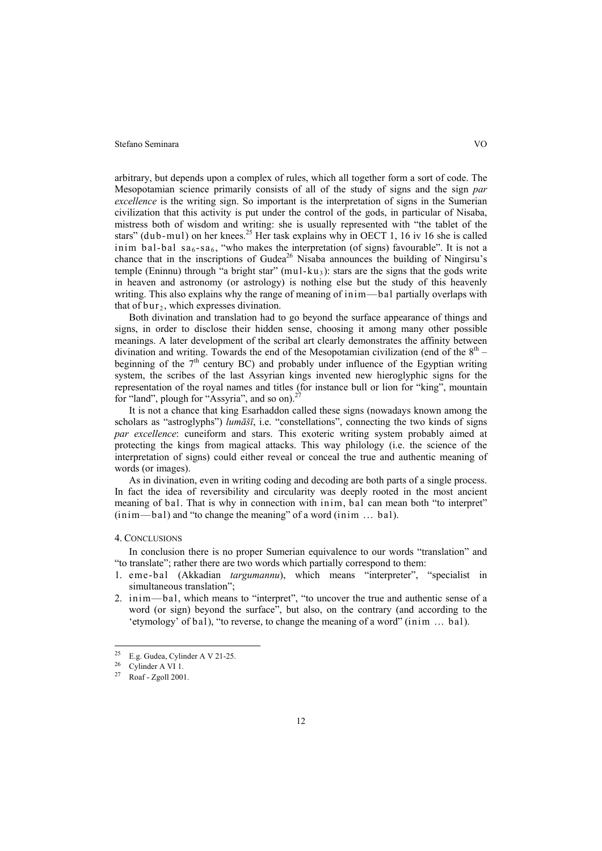#### Stefano Seminara VO

arbitrary, but depends upon a complex of rules, which all together form a sort of code. The Mesopotamian science primarily consists of all of the study of signs and the sign *par excellence* is the writing sign. So important is the interpretation of signs in the Sumerian civilization that this activity is put under the control of the gods, in particular of Nisaba, mistress both of wisdom and writing: she is usually represented with "the tablet of the stars" (dub-mul) on her knees.<sup>25</sup> Her task explains why in OECT 1, 16 iv 16 she is called inim bal-bal sa<sub>6</sub>-sa<sub>6</sub>, "who makes the interpretation (of signs) favourable". It is not a chance that in the inscriptions of Gudea<sup>26</sup> Nisaba announces the building of Ningirsu's temple (Eninnu) through "a bright star" (mul-ku<sub>3</sub>): stars are the signs that the gods write in heaven and astronomy (or astrology) is nothing else but the study of this heavenly writing. This also explains why the range of meaning of inim—bal partially overlaps with that of  $bur_2$ , which expresses divination.

Both divination and translation had to go beyond the surface appearance of things and signs, in order to disclose their hidden sense, choosing it among many other possible meanings. A later development of the scribal art clearly demonstrates the affinity between divination and writing. Towards the end of the Mesopotamian civilization (end of the  $8<sup>th</sup>$  – beginning of the  $7<sup>th</sup>$  century BC) and probably under influence of the Egyptian writing system, the scribes of the last Assyrian kings invented new hieroglyphic signs for the representation of the royal names and titles (for instance bull or lion for "king", mountain for "land", plough for "Assyria", and so on).<sup>2</sup>

It is not a chance that king Esarhaddon called these signs (nowadays known among the scholars as "astroglyphs") *lumāšī*, i.e. "constellations", connecting the two kinds of signs *par excellence*: cuneiform and stars. This exoteric writing system probably aimed at protecting the kings from magical attacks. This way philology (i.e. the science of the interpretation of signs) could either reveal or conceal the true and authentic meaning of words (or images).

As in divination, even in writing coding and decoding are both parts of a single process. In fact the idea of reversibility and circularity was deeply rooted in the most ancient meaning of bal. That is why in connection with inim, bal can mean both "to interpret" (inim—bal) and "to change the meaning" of a word (inim ... bal).

#### 4. CONCLUSIONS

In conclusion there is no proper Sumerian equivalence to our words "translation" and "to translate"; rather there are two words which partially correspond to them:

- 1. eme-bal (Akkadian *targumannu*), which means "interpreter", "specialist in simultaneous translation";
- 2. inim—bal, which means to "interpret", "to uncover the true and authentic sense of a word (or sign) beyond the surface", but also, on the contrary (and according to the 'etymology' of bal), "to reverse, to change the meaning of a word" (inim ... bal).

 $25$ <sup>25</sup> E.g. Gudea, Cylinder A V 21-25.

 $^{26}$  Cylinder A VI 1.<br> $^{27}$  Post Zgell 200

Roaf - Zgoll 2001.